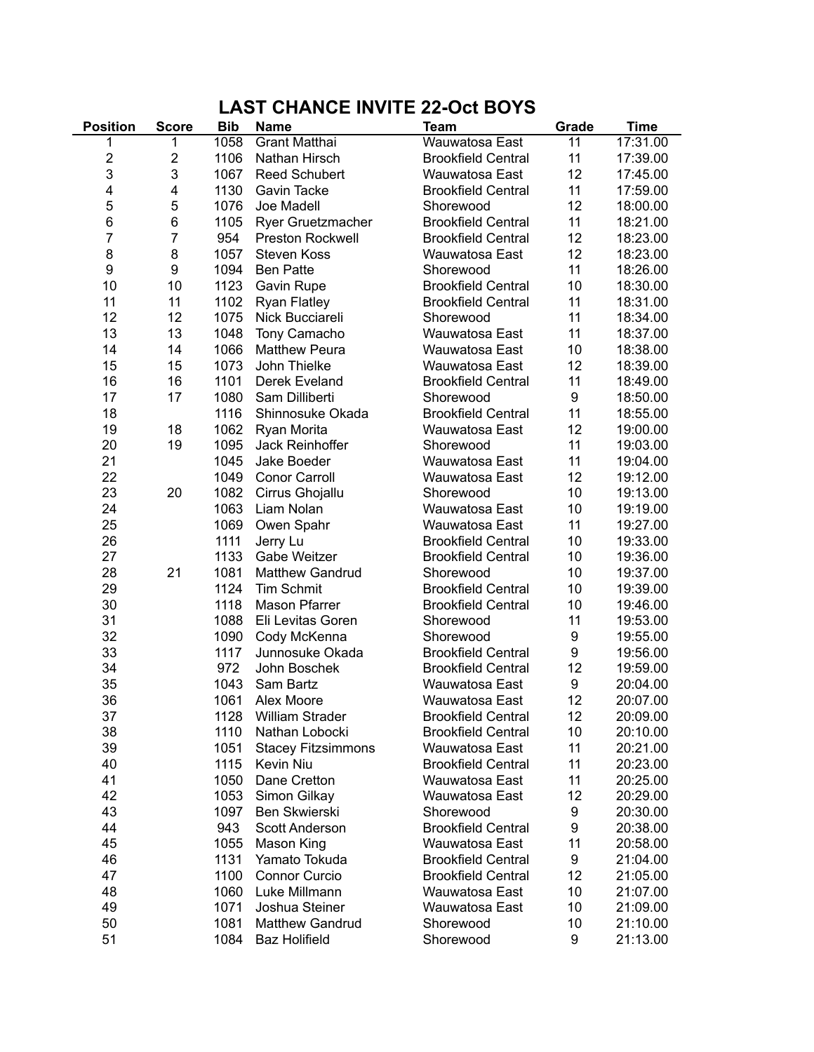## **LAST CHANCE INVITE 22-Oct BOYS**

| <b>Position</b> | <b>Score</b>            | <b>Bib</b> | <b>Name</b>               | <b>Team</b>               | Grade            | <b>Time</b> |
|-----------------|-------------------------|------------|---------------------------|---------------------------|------------------|-------------|
| 1               | 1                       | 1058       | Grant Matthai             | Wauwatosa East            | 11               | 17:31.00    |
| 2               | $\overline{\mathbf{c}}$ | 1106       | Nathan Hirsch             | <b>Brookfield Central</b> | 11               | 17:39.00    |
| 3               | 3                       | 1067       | <b>Reed Schubert</b>      | Wauwatosa East            | 12               | 17:45.00    |
| 4               | 4                       | 1130       | <b>Gavin Tacke</b>        | <b>Brookfield Central</b> | 11               | 17:59.00    |
| 5               | 5                       | 1076       | Joe Madell                | Shorewood                 | 12               | 18:00.00    |
| 6               | 6                       | 1105       | Ryer Gruetzmacher         | <b>Brookfield Central</b> | 11               | 18:21.00    |
| $\overline{7}$  | 7                       | 954        | <b>Preston Rockwell</b>   | <b>Brookfield Central</b> | 12               | 18:23.00    |
| 8               | 8                       | 1057       | <b>Steven Koss</b>        | Wauwatosa East            | 12               | 18:23.00    |
| 9               | 9                       | 1094       | <b>Ben Patte</b>          | Shorewood                 | 11               | 18:26.00    |
| 10              | 10                      | 1123       | <b>Gavin Rupe</b>         | <b>Brookfield Central</b> | 10               | 18:30.00    |
| 11              | 11                      | 1102       | <b>Ryan Flatley</b>       | <b>Brookfield Central</b> | 11               | 18:31.00    |
| 12              | 12                      | 1075       | Nick Bucciareli           | Shorewood                 | 11               | 18:34.00    |
| 13              | 13                      | 1048       | Tony Camacho              | Wauwatosa East            | 11               | 18:37.00    |
| 14              | 14                      | 1066       | <b>Matthew Peura</b>      | Wauwatosa East            | 10               | 18:38.00    |
| 15              | 15                      | 1073       | John Thielke              | Wauwatosa East            | 12               | 18:39.00    |
| 16              | 16                      | 1101       | Derek Eveland             | <b>Brookfield Central</b> | 11               | 18:49.00    |
| 17              | 17                      | 1080       | Sam Dilliberti            | Shorewood                 | $\boldsymbol{9}$ | 18:50.00    |
| 18              |                         | 1116       | Shinnosuke Okada          | <b>Brookfield Central</b> | 11               | 18:55.00    |
| 19              | 18                      | 1062       | Ryan Morita               | Wauwatosa East            | 12               | 19:00.00    |
| 20              | 19                      | 1095       | Jack Reinhoffer           | Shorewood                 | 11               | 19:03.00    |
| 21              |                         | 1045       | Jake Boeder               | Wauwatosa East            | 11               | 19:04.00    |
| 22              |                         | 1049       | <b>Conor Carroll</b>      | Wauwatosa East            | 12               | 19:12.00    |
| 23              | 20                      | 1082       | Cirrus Ghojallu           | Shorewood                 | 10               | 19:13.00    |
| 24              |                         | 1063       | Liam Nolan                | Wauwatosa East            | 10               | 19:19.00    |
| 25              |                         | 1069       | Owen Spahr                | Wauwatosa East            | 11               | 19:27.00    |
| 26              |                         | 1111       | Jerry Lu                  | <b>Brookfield Central</b> | 10               | 19:33.00    |
| 27              |                         | 1133       | Gabe Weitzer              | <b>Brookfield Central</b> | 10               | 19:36.00    |
| 28              | 21                      | 1081       | <b>Matthew Gandrud</b>    | Shorewood                 | 10               | 19:37.00    |
| 29              |                         | 1124       | <b>Tim Schmit</b>         | <b>Brookfield Central</b> | 10               | 19:39.00    |
| 30              |                         | 1118       | Mason Pfarrer             | <b>Brookfield Central</b> | 10               | 19:46.00    |
| 31              |                         | 1088       | Eli Levitas Goren         | Shorewood                 | 11               | 19:53.00    |
| 32              |                         | 1090       | Cody McKenna              | Shorewood                 | $\boldsymbol{9}$ | 19:55.00    |
| 33              |                         | 1117       | Junnosuke Okada           | <b>Brookfield Central</b> | $\boldsymbol{9}$ | 19:56.00    |
| 34              |                         | 972        | John Boschek              | <b>Brookfield Central</b> | 12               | 19:59.00    |
| 35              |                         | 1043       | Sam Bartz                 | Wauwatosa East            | 9                | 20:04.00    |
| 36              |                         | 1061       | Alex Moore                | Wauwatosa East            | 12               | 20:07.00    |
| 37              |                         | 1128       | William Strader           | <b>Brookfield Central</b> | 12               | 20:09.00    |
| 38              |                         | 1110       | Nathan Lobocki            | <b>Brookfield Central</b> | 10               | 20:10.00    |
| 39              |                         | 1051       | <b>Stacey Fitzsimmons</b> | Wauwatosa East            | 11               | 20:21.00    |
| 40              |                         | 1115       | Kevin Niu                 | <b>Brookfield Central</b> | 11               | 20:23.00    |
| 41              |                         | 1050       | Dane Cretton              | Wauwatosa East            | 11               | 20:25.00    |
| 42              |                         | 1053       | Simon Gilkay              | Wauwatosa East            | 12               | 20:29.00    |
| 43              |                         | 1097       | <b>Ben Skwierski</b>      | Shorewood                 | 9                | 20:30.00    |
| 44              |                         | 943        | <b>Scott Anderson</b>     | <b>Brookfield Central</b> | $\boldsymbol{9}$ | 20:38.00    |
| 45              |                         | 1055       | Mason King                | Wauwatosa East            | 11               | 20:58.00    |
| 46              |                         | 1131       | Yamato Tokuda             | <b>Brookfield Central</b> | 9                | 21:04.00    |
| 47              |                         | 1100       | Connor Curcio             | <b>Brookfield Central</b> | 12               | 21:05.00    |
| 48              |                         | 1060       | Luke Millmann             | Wauwatosa East            | 10               | 21:07.00    |
| 49              |                         | 1071       | Joshua Steiner            | Wauwatosa East            | 10               | 21:09.00    |
| 50              |                         | 1081       | <b>Matthew Gandrud</b>    | Shorewood                 | 10               | 21:10.00    |
| 51              |                         | 1084       | <b>Baz Holifield</b>      | Shorewood                 | 9                | 21:13.00    |